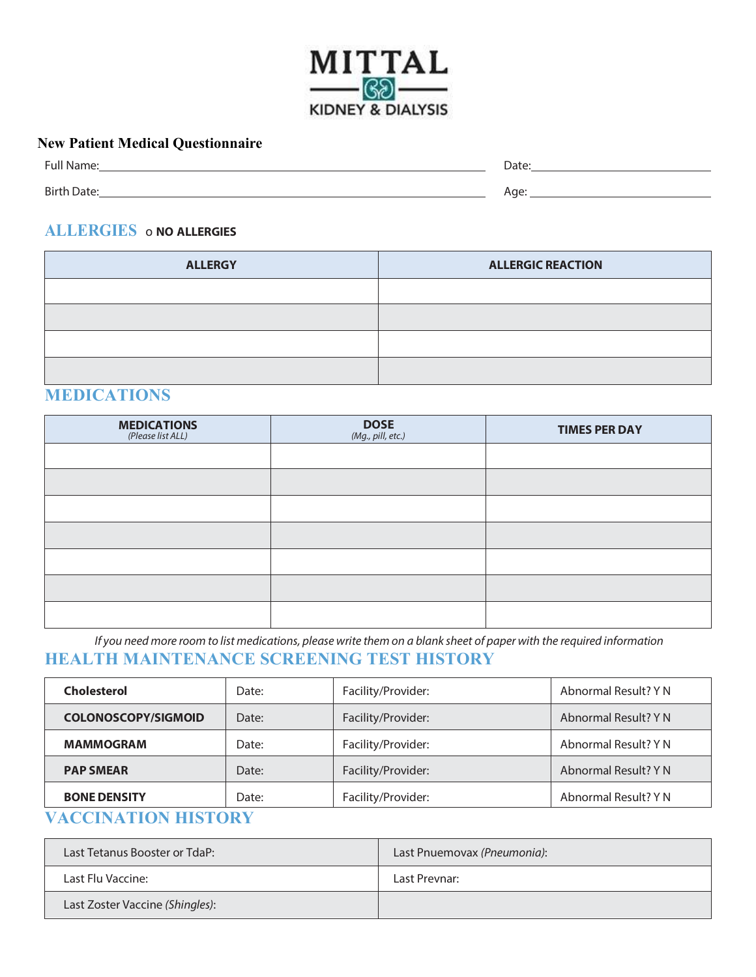

#### **New Patient Medical Questionnaire**

| Full Name:         | Date:     |
|--------------------|-----------|
|                    |           |
| <b>Birth Date:</b> | Age:<br>- |

### **ALLERGIES** o **NO ALLERGIES**

| <b>ALLERGY</b> | <b>ALLERGIC REACTION</b> |
|----------------|--------------------------|
|                |                          |
|                |                          |
|                |                          |
|                |                          |

### **MEDICATIONS**

| <b>MEDICATIONS</b><br>(Please list ALL) | <b>DOSE</b><br>(Mg., pill, etc.) | <b>TIMES PER DAY</b> |
|-----------------------------------------|----------------------------------|----------------------|
|                                         |                                  |                      |
|                                         |                                  |                      |
|                                         |                                  |                      |
|                                         |                                  |                      |
|                                         |                                  |                      |
|                                         |                                  |                      |
|                                         |                                  |                      |

*If you need more room to list medications, please write them on a blank sheet of paper with the required information* **HEALTH MAINTENANCE SCREENING TEST HISTORY**

| <b>Cholesterol</b>                  | Date: | Facility/Provider: | Abnormal Result? Y N |  |  |  |
|-------------------------------------|-------|--------------------|----------------------|--|--|--|
| <b>COLONOSCOPY/SIGMOID</b><br>Date: |       | Facility/Provider: | Abnormal Result? Y N |  |  |  |
| <b>MAMMOGRAM</b><br>Date:           |       | Facility/Provider: | Abnormal Result? Y N |  |  |  |
| <b>PAP SMEAR</b><br>Date:           |       | Facility/Provider: | Abnormal Result? Y N |  |  |  |
| <b>BONE DENSITY</b><br>Date:        |       | Facility/Provider: | Abnormal Result? Y N |  |  |  |

## **VACCINATION HISTORY**

| Last Tetanus Booster or TdaP:   | Last Pnuemovax (Pneumonia): |
|---------------------------------|-----------------------------|
| Last Flu Vaccine:               | Last Prevnar:               |
| Last Zoster Vaccine (Shingles): |                             |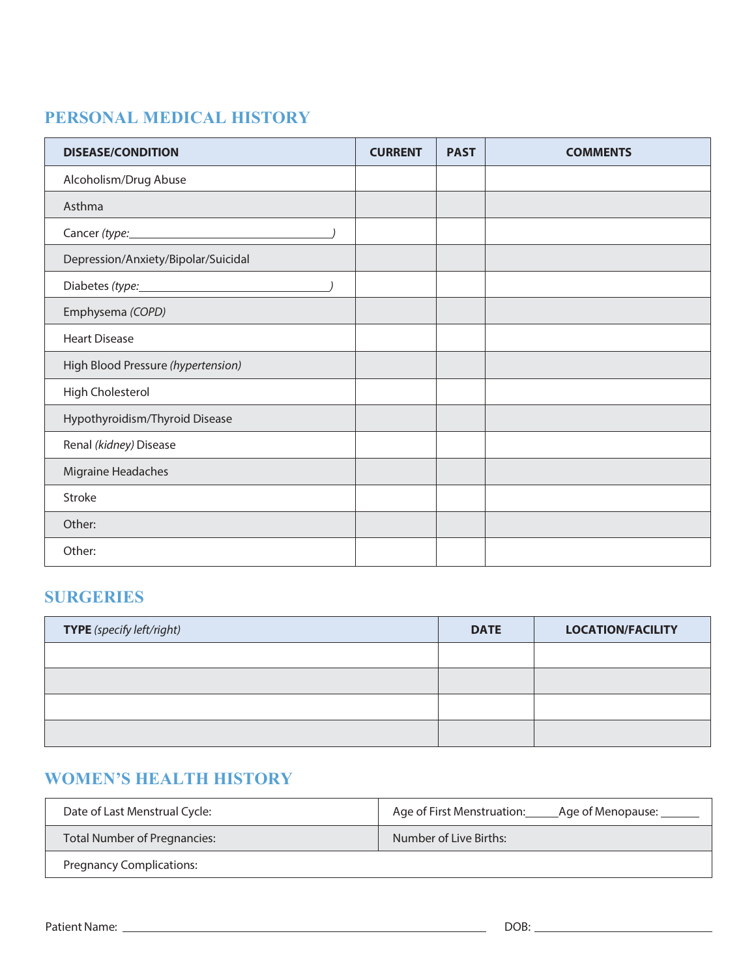## **PERSONAL MEDICAL HISTORY**

| <b>DISEASE/CONDITION</b>            | <b>CURRENT</b> | <b>PAST</b> | <b>COMMENTS</b> |
|-------------------------------------|----------------|-------------|-----------------|
| Alcoholism/Drug Abuse               |                |             |                 |
| Asthma                              |                |             |                 |
|                                     |                |             |                 |
| Depression/Anxiety/Bipolar/Suicidal |                |             |                 |
| Diabetes (type: 1999)               |                |             |                 |
| Emphysema (COPD)                    |                |             |                 |
| <b>Heart Disease</b>                |                |             |                 |
| High Blood Pressure (hypertension)  |                |             |                 |
| High Cholesterol                    |                |             |                 |
| Hypothyroidism/Thyroid Disease      |                |             |                 |
| Renal (kidney) Disease              |                |             |                 |
| Migraine Headaches                  |                |             |                 |
| Stroke                              |                |             |                 |
| Other:                              |                |             |                 |
| Other:                              |                |             |                 |

### **SURGERIES**

| TYPE (specify left/right) | <b>DATE</b> | <b>LOCATION/FACILITY</b> |
|---------------------------|-------------|--------------------------|
|                           |             |                          |
|                           |             |                          |
|                           |             |                          |
|                           |             |                          |

### **WOMEN'S HEALTH HISTORY**

| Date of Last Menstrual Cycle:   | Age of First Menstruation:<br>_Age of Menopause: ______ |
|---------------------------------|---------------------------------------------------------|
| Total Number of Pregnancies:    | Number of Live Births:                                  |
| <b>Pregnancy Complications:</b> |                                                         |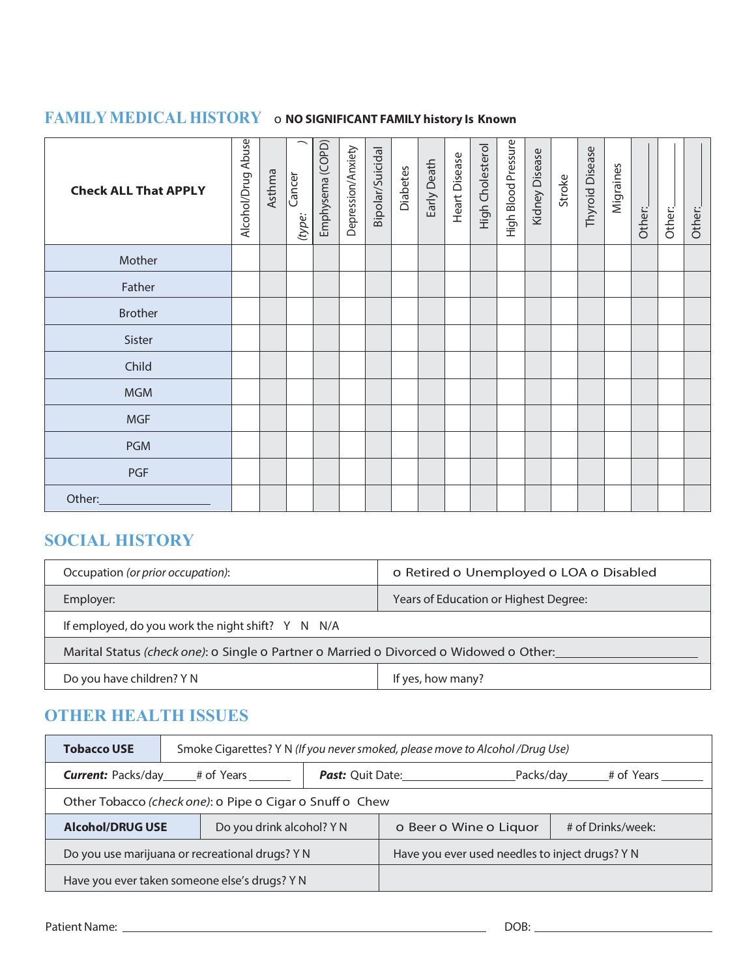# **FAMILY MEDICAL HISTORY** o **NO SIGNIFICANT FAMILY history Is Known**

| <b>Check ALL That APPLY</b> | Alcohol/Drug Abuse | Asthma | –<br>Cancer<br>(type: | Emphysema (COPD) | Depression/Anxiety | Bipolar/Suicidal | <b>Diabetes</b> | Early Death | Heart Disease | High Cholesterol | High Blood Pressure | Kidney Disease | Stroke | <b>Thyroid Disease</b> | Migraines | Other: | Other: | Other: |
|-----------------------------|--------------------|--------|-----------------------|------------------|--------------------|------------------|-----------------|-------------|---------------|------------------|---------------------|----------------|--------|------------------------|-----------|--------|--------|--------|
| Mother                      |                    |        |                       |                  |                    |                  |                 |             |               |                  |                     |                |        |                        |           |        |        |        |
| Father                      |                    |        |                       |                  |                    |                  |                 |             |               |                  |                     |                |        |                        |           |        |        |        |
| <b>Brother</b>              |                    |        |                       |                  |                    |                  |                 |             |               |                  |                     |                |        |                        |           |        |        |        |
| Sister                      |                    |        |                       |                  |                    |                  |                 |             |               |                  |                     |                |        |                        |           |        |        |        |
| Child                       |                    |        |                       |                  |                    |                  |                 |             |               |                  |                     |                |        |                        |           |        |        |        |
| <b>MGM</b>                  |                    |        |                       |                  |                    |                  |                 |             |               |                  |                     |                |        |                        |           |        |        |        |
| <b>MGF</b>                  |                    |        |                       |                  |                    |                  |                 |             |               |                  |                     |                |        |                        |           |        |        |        |
| <b>PGM</b>                  |                    |        |                       |                  |                    |                  |                 |             |               |                  |                     |                |        |                        |           |        |        |        |
| PGF                         |                    |        |                       |                  |                    |                  |                 |             |               |                  |                     |                |        |                        |           |        |        |        |
| Other:                      |                    |        |                       |                  |                    |                  |                 |             |               |                  |                     |                |        |                        |           |        |        |        |

### **SOCIAL HISTORY**

| Occupation (or prior occupation):                                                      | o Retired o Unemployed o LOA o Disabled |  |  |  |  |  |
|----------------------------------------------------------------------------------------|-----------------------------------------|--|--|--|--|--|
| Employer:                                                                              | Years of Education or Highest Degree:   |  |  |  |  |  |
| If employed, do you work the night shift? Y N N/A                                      |                                         |  |  |  |  |  |
| Marital Status (check one): o Single o Partner o Married o Divorced o Widowed o Other: |                                         |  |  |  |  |  |
| Do you have children? Y N                                                              | If yes, how many?                       |  |  |  |  |  |

### **OTHER HEALTH ISSUES**

| <b>Tobacco USE</b>                            |                                                      | Smoke Cigarettes? Y N (If you never smoked, please move to Alcohol/Drug Use) |                                                 |                                                 |                                             |  |  |  |  |
|-----------------------------------------------|------------------------------------------------------|------------------------------------------------------------------------------|-------------------------------------------------|-------------------------------------------------|---------------------------------------------|--|--|--|--|
| <b>Current:</b> Packs/day ________# of Years  |                                                      |                                                                              |                                                 | <b>Past:</b> Quit Date:<br>Packs/day # of Years |                                             |  |  |  |  |
|                                               |                                                      | Other Tobacco (check one): o Pipe o Cigar o Snuff o Chew                     |                                                 |                                                 |                                             |  |  |  |  |
|                                               | <b>Alcohol/DRUG USE</b><br>Do you drink alcohol? Y N |                                                                              |                                                 |                                                 | # of Drinks/week:<br>o Beer o Wine o Liquor |  |  |  |  |
|                                               | Do you use marijuana or recreational drugs? Y N      |                                                                              | Have you ever used needles to inject drugs? Y N |                                                 |                                             |  |  |  |  |
| Have you ever taken someone else's drugs? Y N |                                                      |                                                                              |                                                 |                                                 |                                             |  |  |  |  |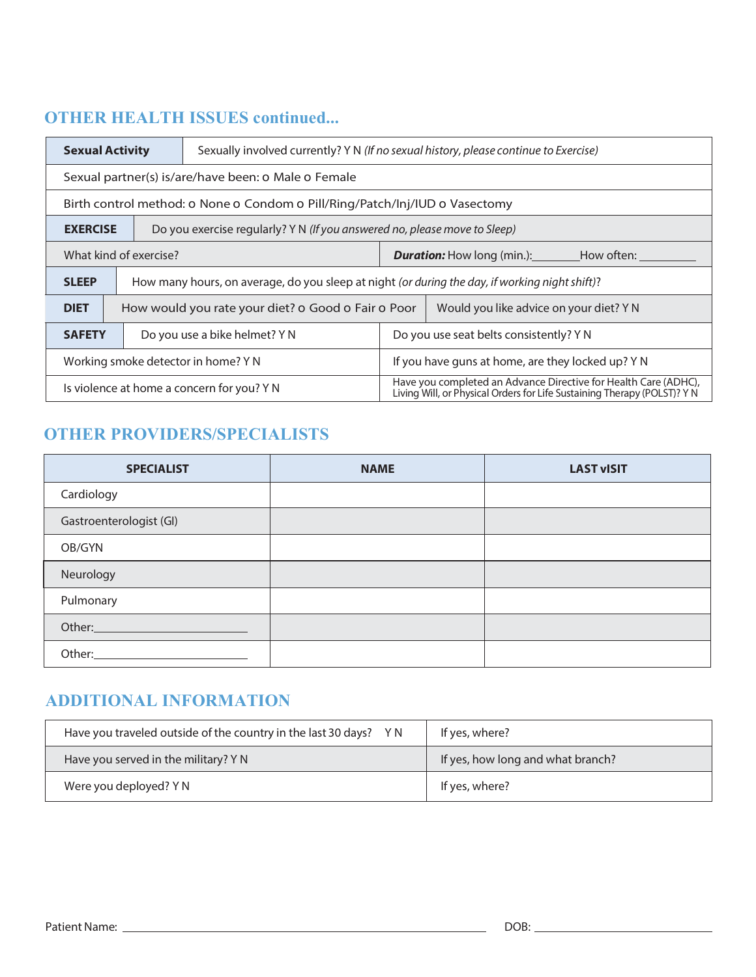## **OTHER HEALTH ISSUES continued...**

|                                                                                         | <b>Sexual Activity</b>                                                                       | Sexually involved currently? Y N (If no sexual history, please continue to Exercise)           |  |                                                                                                                                             |  |  |  |  |  |
|-----------------------------------------------------------------------------------------|----------------------------------------------------------------------------------------------|------------------------------------------------------------------------------------------------|--|---------------------------------------------------------------------------------------------------------------------------------------------|--|--|--|--|--|
|                                                                                         | Sexual partner(s) is/are/have been: 0 Male 0 Female                                          |                                                                                                |  |                                                                                                                                             |  |  |  |  |  |
|                                                                                         | Birth control method: 0 None 0 Condom 0 Pill/Ring/Patch/Inj/IUD 0 Vasectomy                  |                                                                                                |  |                                                                                                                                             |  |  |  |  |  |
|                                                                                         | Do you exercise regularly? Y N (If you answered no, please move to Sleep)<br><b>EXERCISE</b> |                                                                                                |  |                                                                                                                                             |  |  |  |  |  |
| What kind of exercise?<br><b>Duration:</b> How long (min.): How often:                  |                                                                                              |                                                                                                |  |                                                                                                                                             |  |  |  |  |  |
| <b>SLEEP</b>                                                                            |                                                                                              | How many hours, on average, do you sleep at night (or during the day, if working night shift)? |  |                                                                                                                                             |  |  |  |  |  |
| <b>DIET</b>                                                                             |                                                                                              | How would you rate your diet? o Good o Fair o Poor                                             |  | Would you like advice on your diet? YN                                                                                                      |  |  |  |  |  |
| <b>SAFETY</b>                                                                           |                                                                                              | Do you use seat belts consistently? Y N<br>Do you use a bike helmet? Y N                       |  |                                                                                                                                             |  |  |  |  |  |
| If you have guns at home, are they locked up? Y N<br>Working smoke detector in home? YN |                                                                                              |                                                                                                |  |                                                                                                                                             |  |  |  |  |  |
|                                                                                         |                                                                                              | Is violence at home a concern for you? YN                                                      |  | Have you completed an Advance Directive for Health Care (ADHC),<br>Living Will, or Physical Orders for Life Sustaining Therapy (POLST)? Y N |  |  |  |  |  |

### **OTHER PROVIDERS/SPECIALISTS**

| <b>SPECIALIST</b>               | <b>NAME</b> | <b>LAST vISIT</b> |
|---------------------------------|-------------|-------------------|
| Cardiology                      |             |                   |
| Gastroenterologist (GI)         |             |                   |
| OB/GYN                          |             |                   |
| Neurology                       |             |                   |
| Pulmonary                       |             |                   |
| Other: <u>www.community.com</u> |             |                   |
| Other:                          |             |                   |

### **ADDITIONAL INFORMATION**

| Have you traveled outside of the country in the last 30 days? YN | If yes, where?                    |
|------------------------------------------------------------------|-----------------------------------|
| Have you served in the military? Y N                             | If yes, how long and what branch? |
| Were you deployed? Y N                                           | If yes, where?                    |